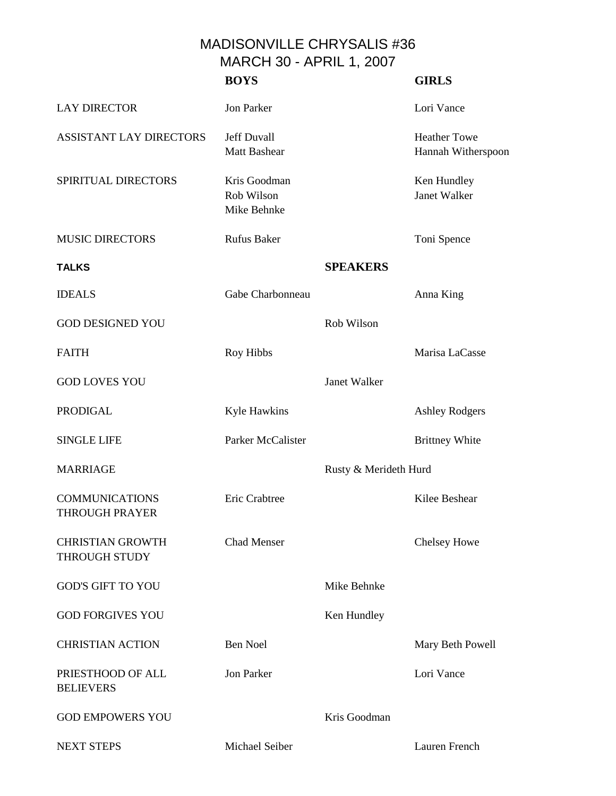## MADISONVILLE CHRYSALIS #36 MARCH 30 - APRIL 1, 2007

|                                                | <b>BOYS</b>                               |                       | <b>GIRLS</b>                              |
|------------------------------------------------|-------------------------------------------|-----------------------|-------------------------------------------|
| <b>LAY DIRECTOR</b>                            | Jon Parker                                |                       | Lori Vance                                |
| <b>ASSISTANT LAY DIRECTORS</b>                 | <b>Jeff Duvall</b><br><b>Matt Bashear</b> |                       | <b>Heather Towe</b><br>Hannah Witherspoon |
| SPIRITUAL DIRECTORS                            | Kris Goodman<br>Rob Wilson<br>Mike Behnke |                       | Ken Hundley<br>Janet Walker               |
| <b>MUSIC DIRECTORS</b>                         | <b>Rufus Baker</b>                        |                       | Toni Spence                               |
| <b>TALKS</b>                                   |                                           | <b>SPEAKERS</b>       |                                           |
| <b>IDEALS</b>                                  | Gabe Charbonneau                          |                       | Anna King                                 |
| <b>GOD DESIGNED YOU</b>                        |                                           | Rob Wilson            |                                           |
| <b>FAITH</b>                                   | Roy Hibbs                                 |                       | Marisa LaCasse                            |
| <b>GOD LOVES YOU</b>                           |                                           | Janet Walker          |                                           |
| <b>PRODIGAL</b>                                | Kyle Hawkins                              |                       | <b>Ashley Rodgers</b>                     |
| <b>SINGLE LIFE</b>                             | Parker McCalister                         |                       | <b>Brittney White</b>                     |
| <b>MARRIAGE</b>                                |                                           | Rusty & Merideth Hurd |                                           |
| <b>COMMUNICATIONS</b><br><b>THROUGH PRAYER</b> | Eric Crabtree                             |                       | Kilee Beshear                             |
| <b>CHRISTIAN GROWTH</b><br>THROUGH STUDY       | <b>Chad Menser</b>                        |                       | <b>Chelsey Howe</b>                       |
| <b>GOD'S GIFT TO YOU</b>                       |                                           | Mike Behnke           |                                           |
| <b>GOD FORGIVES YOU</b>                        |                                           | Ken Hundley           |                                           |
| <b>CHRISTIAN ACTION</b>                        | <b>Ben Noel</b>                           |                       | Mary Beth Powell                          |
| PRIESTHOOD OF ALL<br><b>BELIEVERS</b>          | <b>Jon Parker</b>                         |                       | Lori Vance                                |
| <b>GOD EMPOWERS YOU</b>                        |                                           | Kris Goodman          |                                           |
| <b>NEXT STEPS</b>                              | Michael Seiber                            |                       | Lauren French                             |